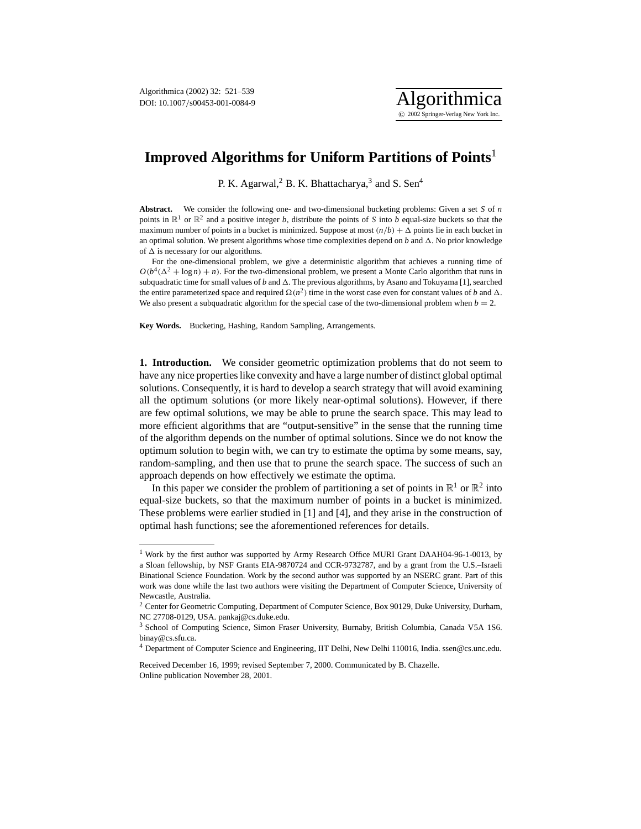

P. K. Agarwal,<sup>2</sup> B. K. Bhattacharya,<sup>3</sup> and S. Sen<sup>4</sup>

**Abstract.** We consider the following one- and two-dimensional bucketing problems: Given a set *S* of *n* points in  $\mathbb{R}^1$  or  $\mathbb{R}^2$  and a positive integer *b*, distribute the points of *S* into *b* equal-size buckets so that the maximum number of points in a bucket is minimized. Suppose at most  $(n/b) + \Delta$  points lie in each bucket in an optimal solution. We present algorithms whose time complexities depend on  $b$  and  $\Delta$ . No prior knowledge of  $\Delta$  is necessary for our algorithms.

For the one-dimensional problem, we give a deterministic algorithm that achieves a running time of  $O(b^4(\Delta^2 + \log n) + n)$ . For the two-dimensional problem, we present a Monte Carlo algorithm that runs in subquadratic time for small values of *b* and  $\Delta$ . The previous algorithms, by Asano and Tokuyama [1], searched the entire parameterized space and required  $\Omega(n^2)$  time in the worst case even for constant values of *b* and  $\Delta$ . We also present a subquadratic algorithm for the special case of the two-dimensional problem when  $b = 2$ .

**Key Words.** Bucketing, Hashing, Random Sampling, Arrangements.

**1. Introduction.** We consider geometric optimization problems that do not seem to have any nice properties like convexity and have a large number of distinct global optimal solutions. Consequently, it is hard to develop a search strategy that will avoid examining all the optimum solutions (or more likely near-optimal solutions). However, if there are few optimal solutions, we may be able to prune the search space. This may lead to more efficient algorithms that are "output-sensitive" in the sense that the running time of the algorithm depends on the number of optimal solutions. Since we do not know the optimum solution to begin with, we can try to estimate the optima by some means, say, random-sampling, and then use that to prune the search space. The success of such an approach depends on how effectively we estimate the optima.

In this paper we consider the problem of partitioning a set of points in  $\mathbb{R}^1$  or  $\mathbb{R}^2$  into equal-size buckets, so that the maximum number of points in a bucket is minimized. These problems were earlier studied in [1] and [4], and they arise in the construction of optimal hash functions; see the aforementioned references for details.

<sup>&</sup>lt;sup>1</sup> Work by the first author was supported by Army Research Office MURI Grant DAAH04-96-1-0013, by a Sloan fellowship, by NSF Grants EIA-9870724 and CCR-9732787, and by a grant from the U.S.–Israeli Binational Science Foundation. Work by the second author was supported by an NSERC grant. Part of this work was done while the last two authors were visiting the Department of Computer Science, University of Newcastle, Australia.

<sup>&</sup>lt;sup>2</sup> Center for Geometric Computing, Department of Computer Science, Box 90129, Duke University, Durham, NC 27708-0129, USA. pankaj@cs.duke.edu.

<sup>3</sup> School of Computing Science, Simon Fraser University, Burnaby, British Columbia, Canada V5A 1S6. binay@cs.sfu.ca.

<sup>4</sup> Department of Computer Science and Engineering, IIT Delhi, New Delhi 110016, India. ssen@cs.unc.edu.

Received December 16, 1999; revised September 7, 2000. Communicated by B. Chazelle. Online publication November 28, 2001.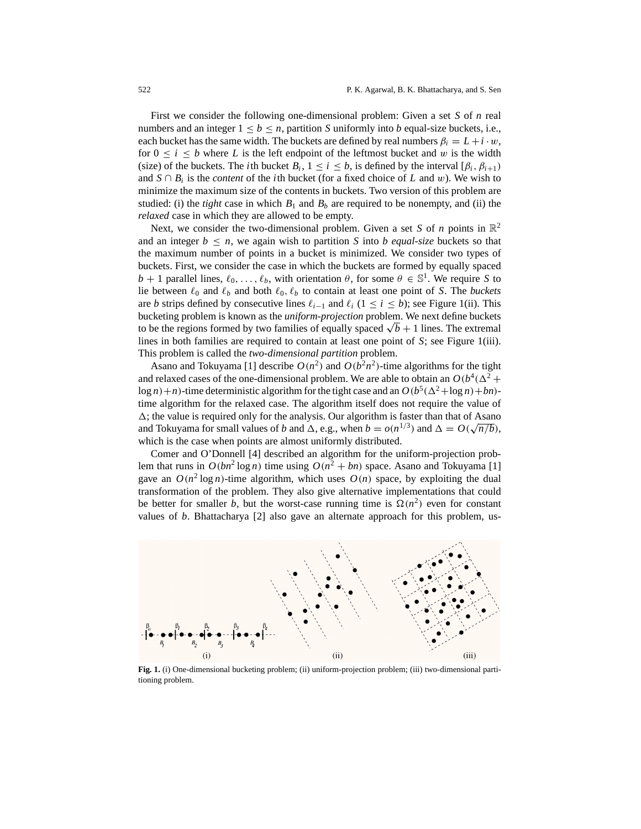First we consider the following one-dimensional problem: Given a set *S* of *n* real numbers and an integer  $1 \leq b \leq n$ , partition *S* uniformly into *b* equal-size buckets, i.e., each bucket has the same width. The buckets are defined by real numbers  $\beta_i = L + i \cdot w$ , for  $0 \le i \le b$  where *L* is the left endpoint of the leftmost bucket and w is the width (size) of the buckets. The *i*th bucket  $B_i$ ,  $1 \le i \le b$ , is defined by the interval  $[\beta_i, \beta_{i+1})$ and  $S \cap B_i$  is the *content* of the *i*th bucket (for a fixed choice of *L* and w). We wish to minimize the maximum size of the contents in buckets. Two version of this problem are studied: (i) the *tight* case in which  $B_1$  and  $B_b$  are required to be nonempty, and (ii) the *relaxed* case in which they are allowed to be empty.

Next, we consider the two-dimensional problem. Given a set *S* of *n* points in  $\mathbb{R}^2$ and an integer  $b \leq n$ , we again wish to partition *S* into *b* equal-size buckets so that the maximum number of points in a bucket is minimized. We consider two types of buckets. First, we consider the case in which the buckets are formed by equally spaced *b* + 1 parallel lines,  $\ell_0, \ldots, \ell_b$ , with orientation  $\theta$ , for some  $\theta \in \mathbb{S}^1$ . We require *S* to lie between  $\ell_0$  and  $\ell_b$  and both  $\ell_0$ ,  $\ell_b$  to contain at least one point of *S*. The *buckets* are *b* strips defined by consecutive lines  $\ell_{i-1}$  and  $\ell_i$  (1 ≤ *i* ≤ *b*); see Figure 1(ii). This bucketing problem is known as the *uniform-projection* problem. We next define buckets to be the regions formed by two families of equally spaced  $\sqrt{b} + 1$  lines. The extremal lines in both families are required to contain at least one point of *S*; see Figure 1(iii). This problem is called the *two-dimensional partition* problem.

Asano and Tokuyama [1] describe  $O(n^2)$  and  $O(b^2n^2)$ -time algorithms for the tight and relaxed cases of the one-dimensional problem. We are able to obtain an  $O(b^4(\Delta^2 +$  $\log n$  + *n*)-time deterministic algorithm for the tight case and an  $O(b^5(\Delta^2 + \log n) + bn)$ time algorithm for the relaxed case. The algorithm itself does not require the value of  $\Delta$ ; the value is required only for the analysis. Our algorithm is faster than that of Asano  $\Delta$ ; the value is required only for the analysis. Our algorithm is faster than that of Asaho<br>and Tokuyama for small values of *b* and  $\Delta$ , e.g., when  $b = o(n^{1/3})$  and  $\Delta = O(\sqrt{n/b})$ , which is the case when points are almost uniformly distributed.

Comer and O'Donnell [4] described an algorithm for the uniform-projection problem that runs in  $O(bn^2 \log n)$  time using  $O(n^2 + bn)$  space. Asano and Tokuyama [1] gave an  $O(n^2 \log n)$ -time algorithm, which uses  $O(n)$  space, by exploiting the dual transformation of the problem. They also give alternative implementations that could be better for smaller *b*, but the worst-case running time is  $\Omega(n^2)$  even for constant values of *b*. Bhattacharya [2] also gave an alternate approach for this problem, us-



**Fig. 1.** (i) One-dimensional bucketing problem; (ii) uniform-projection problem; (iii) two-dimensional partitioning problem.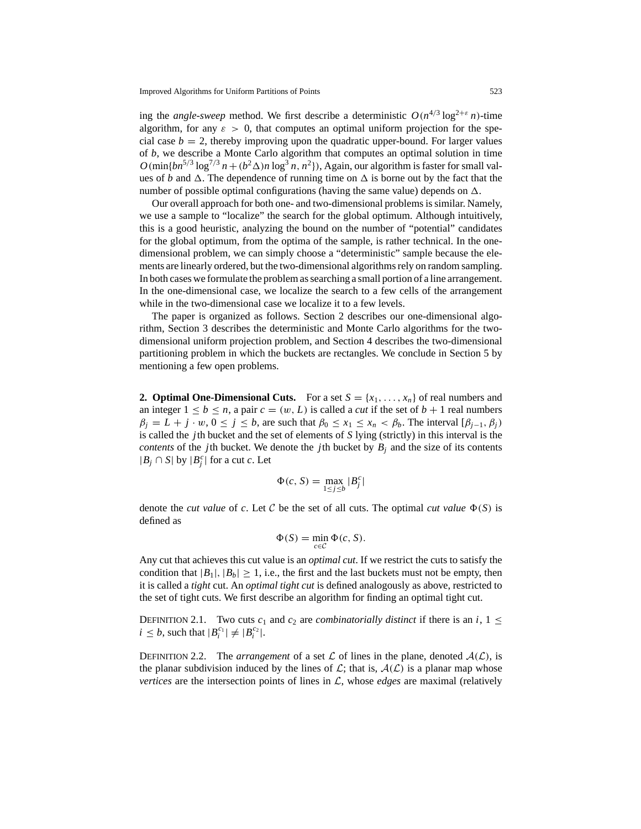ing the *angle-sweep* method. We first describe a deterministic  $O(n^{4/3} \log^{2+\epsilon} n)$ -time algorithm, for any  $\varepsilon > 0$ , that computes an optimal uniform projection for the special case  $b = 2$ , thereby improving upon the quadratic upper-bound. For larger values of *b*, we describe a Monte Carlo algorithm that computes an optimal solution in time  $O(\min\{bn^{5/3} \log^{7/3} n + (b^2 \Delta)n \log^3 n, n^2\})$ , Again, our algorithm is faster for small values of *b* and  $\Delta$ . The dependence of running time on  $\Delta$  is borne out by the fact that the number of possible optimal configurations (having the same value) depends on  $\Delta$ .

Our overall approach for both one- and two-dimensional problems is similar. Namely, we use a sample to "localize" the search for the global optimum. Although intuitively, this is a good heuristic, analyzing the bound on the number of "potential" candidates for the global optimum, from the optima of the sample, is rather technical. In the onedimensional problem, we can simply choose a "deterministic" sample because the elements are linearly ordered, but the two-dimensional algorithms rely on random sampling. In both cases we formulate the problem as searching a small portion of a line arrangement. In the one-dimensional case, we localize the search to a few cells of the arrangement while in the two-dimensional case we localize it to a few levels.

The paper is organized as follows. Section 2 describes our one-dimensional algorithm, Section 3 describes the deterministic and Monte Carlo algorithms for the twodimensional uniform projection problem, and Section 4 describes the two-dimensional partitioning problem in which the buckets are rectangles. We conclude in Section 5 by mentioning a few open problems.

**2. Optimal One-Dimensional Cuts.** For a set  $S = \{x_1, \ldots, x_n\}$  of real numbers and an integer  $1 \leq b \leq n$ , a pair  $c = (w, L)$  is called a *cut* if the set of  $b + 1$  real numbers  $\beta_j = L + j \cdot w, 0 \le j \le b$ , are such that  $\beta_0 \le x_1 \le x_n < \beta_b$ . The interval  $[\beta_{j-1}, \beta_j]$ is called the *j*th bucket and the set of elements of *S* lying (strictly) in this interval is the *contents* of the *j*th bucket. We denote the *j*th bucket by  $B_i$  and the size of its contents | $B_j$  ∩ *S*| by | $B_j^c$ | for a cut *c*. Let

$$
\Phi(c, S) = \max_{1 \le j \le b} |B_j^c|
$$

denote the *cut value* of *c*. Let C be the set of all cuts. The optimal *cut value*  $\Phi(S)$  is defined as

$$
\Phi(S) = \min_{c \in \mathcal{C}} \Phi(c, S).
$$

Any cut that achieves this cut value is an *optimal cut*. If we restrict the cuts to satisfy the condition that  $|B_1|, |B_b| \ge 1$ , i.e., the first and the last buckets must not be empty, then it is called a *tight* cut. An *optimal tight cut* is defined analogously as above, restricted to the set of tight cuts. We first describe an algorithm for finding an optimal tight cut.

DEFINITION 2.1. Two cuts  $c_1$  and  $c_2$  are *combinatorially distinct* if there is an *i*,  $1 \leq$  $i \leq b$ , such that  $|B_i^{c_1}| \neq |B_i^{c_2}|$ .

DEFINITION 2.2. The *arrangement* of a set  $\mathcal L$  of lines in the plane, denoted  $\mathcal A(\mathcal L)$ , is the planar subdivision induced by the lines of  $\mathcal{L}$ ; that is,  $\mathcal{A}(\mathcal{L})$  is a planar map whose *vertices* are the intersection points of lines in  $\mathcal{L}$ , whose *edges* are maximal (relatively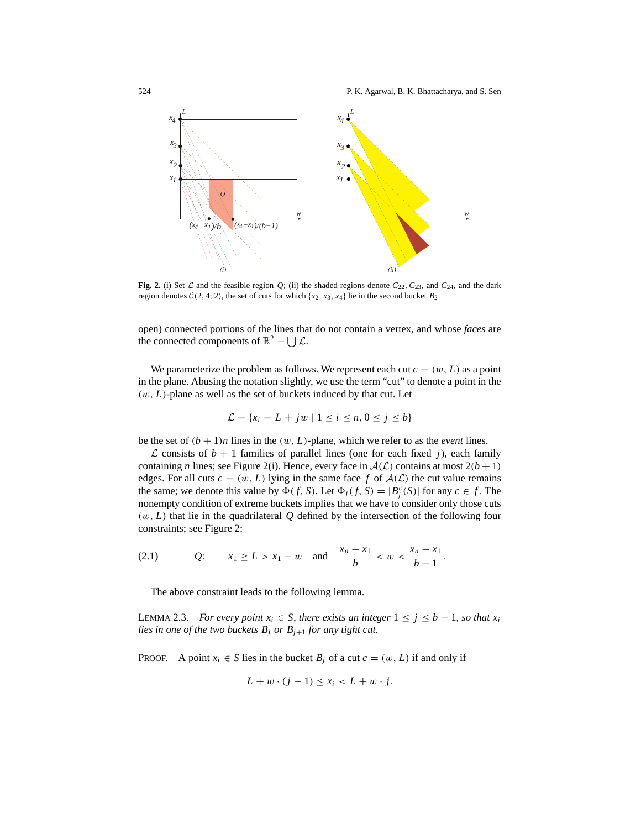

**Fig. 2.** (i) Set  $\mathcal{L}$  and the feasible region  $Q$ ; (ii) the shaded regions denote  $C_{22}$ ,  $C_{23}$ , and  $C_{24}$ , and the dark region denotes  $C(2, 4; 2)$ , the set of cuts for which  $\{x_2, x_3, x_4\}$  lie in the second bucket  $B_2$ .

open) connected portions of the lines that do not contain a vertex, and whose *faces* are the connected components of  $\mathbb{R}^2 - \vert \cdot \vert \mathcal{L}$ .

We parameterize the problem as follows. We represent each cut  $c = (w, L)$  as a point in the plane. Abusing the notation slightly, we use the term "cut" to denote a point in the  $(w, L)$ -plane as well as the set of buckets induced by that cut. Let

$$
\mathcal{L} = \{x_i = L + jw \mid 1 \le i \le n, 0 \le j \le b\}
$$

be the set of  $(b + 1)n$  lines in the  $(w, L)$ -plane, which we refer to as the *event* lines.

 $\mathcal L$  consists of  $b + 1$  families of parallel lines (one for each fixed *j*), each family containing *n* lines; see Figure 2(i). Hence, every face in  $A(\mathcal{L})$  contains at most  $2(b+1)$ edges. For all cuts  $c = (w, L)$  lying in the same face f of  $A(L)$  the cut value remains the same; we denote this value by  $\Phi(f, S)$ . Let  $\Phi_j(f, S) = |B_j^c(S)|$  for any  $c \in f$ . The nonempty condition of extreme buckets implies that we have to consider only those cuts (w, *L*) that lie in the quadrilateral *Q* defined by the intersection of the following four constraints; see Figure 2:

(2.1) 
$$
Q: \quad x_1 \ge L > x_1 - w \quad \text{and} \quad \frac{x_n - x_1}{b} < w < \frac{x_n - x_1}{b - 1}.
$$

The above constraint leads to the following lemma.

LEMMA 2.3. *For every point*  $x_i$  ∈ *S*, *there exists an integer*  $1 ≤ j ≤ b − 1$ *, so that*  $x_i$ *lies in one of the two buckets*  $B_j$  *or*  $B_{j+1}$  *for any tight cut.* 

PROOF. A point  $x_i \in S$  lies in the bucket  $B_i$  of a cut  $c = (w, L)$  if and only if

$$
L + w \cdot (j - 1) \le x_i < L + w \cdot j.
$$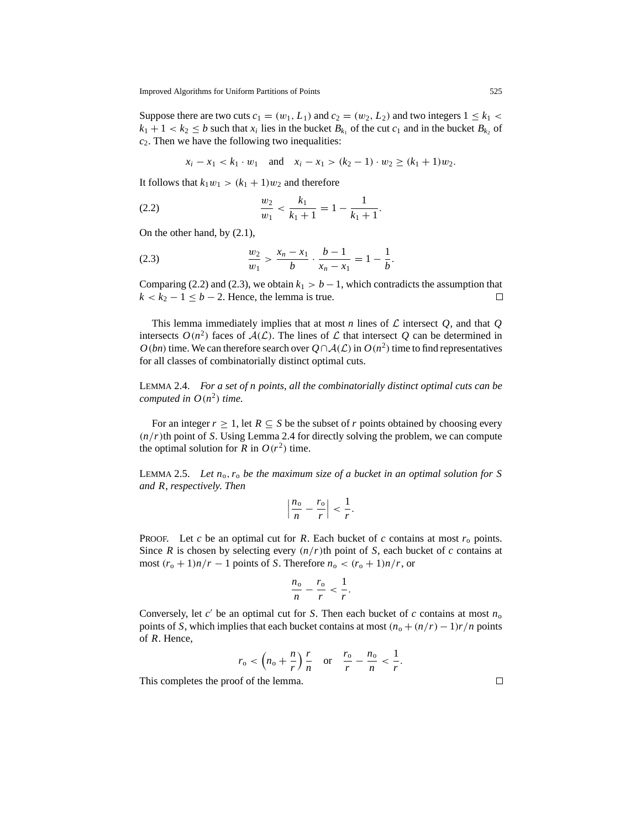Suppose there are two cuts  $c_1 = (w_1, L_1)$  and  $c_2 = (w_2, L_2)$  and two integers  $1 \leq k_1$  $k_1 + 1 < k_2 \le b$  such that  $x_i$  lies in the bucket  $B_{k_1}$  of the cut  $c_1$  and in the bucket  $B_{k_2}$  of *c*2. Then we have the following two inequalities:

 $x_i - x_1 < k_1 \cdot w_1$  and  $x_i - x_1 > (k_2 - 1) \cdot w_2 \ge (k_1 + 1)w_2$ .

It follows that  $k_1w_1 > (k_1 + 1)w_2$  and therefore

(2.2) 
$$
\frac{w_2}{w_1} < \frac{k_1}{k_1 + 1} = 1 - \frac{1}{k_1 + 1}.
$$

On the other hand, by (2.1),

(2.3) 
$$
\frac{w_2}{w_1} > \frac{x_n - x_1}{b} \cdot \frac{b - 1}{x_n - x_1} = 1 - \frac{1}{b}.
$$

Comparing (2.2) and (2.3), we obtain  $k_1 > b - 1$ , which contradicts the assumption that  $k < k_2 - 1 \le b - 2$ . Hence, the lemma is true.  $\Box$ 

This lemma immediately implies that at most *n* lines of  $\mathcal L$  intersect  $Q$ , and that  $Q$ intersects  $O(n^2)$  faces of  $A(\mathcal{L})$ . The lines of  $\mathcal L$  that intersect  $\hat Q$  can be determined in *O*(*bn*) time. We can therefore search over  $Q \cap A(L)$  in  $O(n^2)$  time to find representatives for all classes of combinatorially distinct optimal cuts.

LEMMA 2.4. *For a set of n points*, *all the combinatorially distinct optimal cuts can be computed in*  $O(n^2)$  *time.* 

For an integer  $r \geq 1$ , let  $R \subseteq S$  be the subset of  $r$  points obtained by choosing every  $(n/r)$ th point of *S*. Using Lemma 2.4 for directly solving the problem, we can compute the optimal solution for *R* in  $O(r^2)$  time.

LEMMA 2.5. *Let n*o,*r*<sup>o</sup> *be the maximum size of a bucket in an optimal solution for S and R*, *respectively*. *Then*

$$
\left|\frac{n_{\rm o}}{n}-\frac{r_{\rm o}}{r}\right|<\frac{1}{r}.
$$

PROOF. Let *c* be an optimal cut for *R*. Each bucket of *c* contains at most *r*<sup>o</sup> points. Since *R* is chosen by selecting every  $(n/r)$ th point of *S*, each bucket of *c* contains at most  $(r_0 + 1)n/r - 1$  points of *S*. Therefore  $n_0 < (r_0 + 1)n/r$ , or

$$
\frac{n_{\rm o}}{n}-\frac{r_{\rm o}}{r}<\frac{1}{r}.
$$

Conversely, let  $c'$  be an optimal cut for *S*. Then each bucket of  $c$  contains at most  $n_0$ points of *S*, which implies that each bucket contains at most  $(n_0 + (n/r) - 1)r/n$  points of *R*. Hence,

$$
r_o < (n_o + \frac{n}{r}) \frac{r}{n}
$$
 or  $\frac{r_o}{r} - \frac{n_o}{n} < \frac{1}{r}$ .

This completes the proof of the lemma.

 $\Box$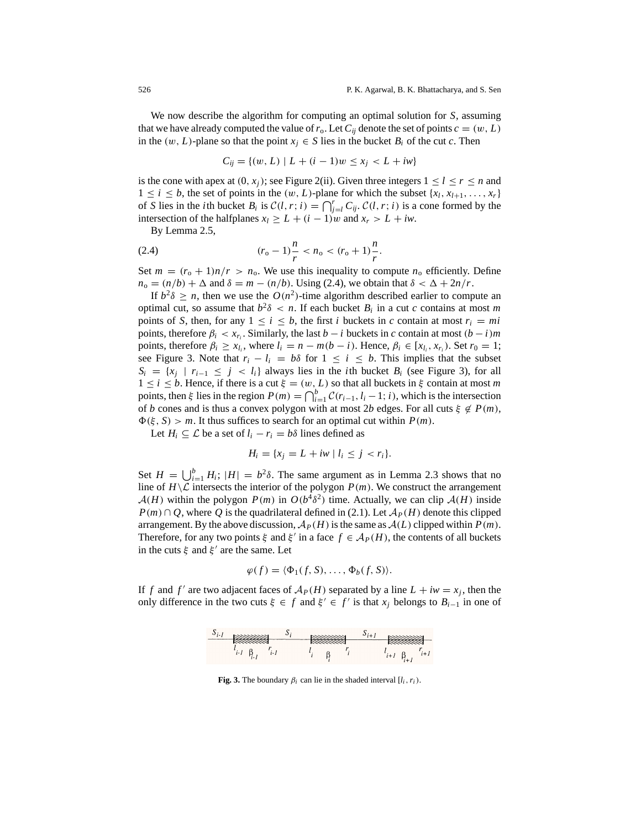We now describe the algorithm for computing an optimal solution for *S*, assuming that we have already computed the value of  $r_o$ . Let  $C_{ii}$  denote the set of points  $c = (w, L)$ in the  $(w, L)$ -plane so that the point  $x_i \in S$  lies in the bucket  $B_i$  of the cut *c*. Then

$$
C_{ij} = \{(w, L) \mid L + (i - 1)w \le x_j < L + iw\}
$$

is the cone with apex at  $(0, x_i)$ ; see Figure 2(ii). Given three integers  $1 \leq l \leq r \leq n$  and  $1 \leq i \leq b$ , the set of points in the  $(w, L)$ -plane for which the subset  $\{x_l, x_{l+1}, \ldots, x_r\}$ of *S* lies in the *i*th bucket *B<sub>i</sub>* is  $C(l, r; i) = \bigcap_{j=1}^{r} C_{ij}$ .  $C(l, r; i)$  is a cone formed by the intersection of the halfplanes  $x_l \geq L + (i - 1)w$  and  $x_r > L + iw$ .

By Lemma 2.5,

(2.4) 
$$
(r_o - 1)\frac{n}{r} < n_o < (r_o + 1)\frac{n}{r}.
$$

Set  $m = (r_0 + 1)n/r > n_0$ . We use this inequality to compute  $n_0$  efficiently. Define  $n_o = (n/b) + \Delta$  and  $\delta = m - (n/b)$ . Using (2.4), we obtain that  $\delta < \Delta + 2n/r$ .

If  $b^2\delta \geq n$ , then we use the  $O(n^2)$ -time algorithm described earlier to compute an optimal cut, so assume that  $b^2\delta < n$ . If each bucket  $B_i$  in a cut *c* contains at most *m* points of *S*, then, for any  $1 \le i \le b$ , the first *i* buckets in *c* contain at most  $r_i = mi$ points, therefore  $\beta_i < x_{r_i}$ . Similarly, the last *b* − *i* buckets in *c* contain at most  $(b - i)m$ points, therefore  $\beta_i \ge x_k$ , where  $l_i = n - m(b - i)$ . Hence,  $\beta_i \in [x_k, x_r]$ . Set  $r_0 = 1$ ; see Figure 3. Note that  $r_i - l_i = b\delta$  for  $1 \le i \le b$ . This implies that the subset  $S_i = \{x_j \mid r_{i-1} \leq j < l_i\}$  always lies in the *i*th bucket  $B_i$  (see Figure 3), for all  $1 \leq i \leq b$ . Hence, if there is a cut  $\xi = (w, L)$  so that all buckets in  $\xi$  contain at most *m* points, then  $\xi$  lies in the region  $P(m) = \bigcap_{i=1}^{b} C(r_{i-1}, l_i - 1; i)$ , which is the intersection of *b* cones and is thus a convex polygon with at most 2*b* edges. For all cuts  $\xi \notin P(m)$ ,  $\Phi(\xi, S) > m$ . It thus suffices to search for an optimal cut within  $P(m)$ .

Let  $H_i \subseteq \mathcal{L}$  be a set of  $l_i - r_i = b\delta$  lines defined as

$$
H_i = \{x_j = L + iw \mid l_i \le j < r_i\}.
$$

Set  $H = \bigcup_{i=1}^{b} H_i$ ;  $|H| = b^2 \delta$ . The same argument as in Lemma 2.3 shows that no line of  $H \setminus \mathcal{L}$  intersects the interior of the polygon  $P(m)$ . We construct the arrangement  $A(H)$  within the polygon  $P(m)$  in  $O(b^4\delta^2)$  time. Actually, we can clip  $A(H)$  inside *P*(*m*)∩ *Q*, where *Q* is the quadrilateral defined in (2.1). Let  $A<sub>P</sub>(H)$  denote this clipped arrangement. By the above discussion,  $\mathcal{A}_P(H)$  is the same as  $\mathcal{A}(L)$  clipped within  $P(m)$ . Therefore, for any two points  $\xi$  and  $\xi'$  in a face  $f \in A_P(H)$ , the contents of all buckets in the cuts  $\xi$  and  $\xi'$  are the same. Let

$$
\varphi(f) = \langle \Phi_1(f, S), \dots, \Phi_b(f, S) \rangle.
$$

If *f* and *f'* are two adjacent faces of  $A_P(H)$  separated by a line  $L + iw = x_i$ , then the only difference in the two cuts  $\xi \in f$  and  $\xi' \in f'$  is that  $x_j$  belongs to  $B_{i-1}$  in one of



**Fig. 3.** The boundary  $\beta_i$  can lie in the shaded interval  $[l_i, r_i)$ .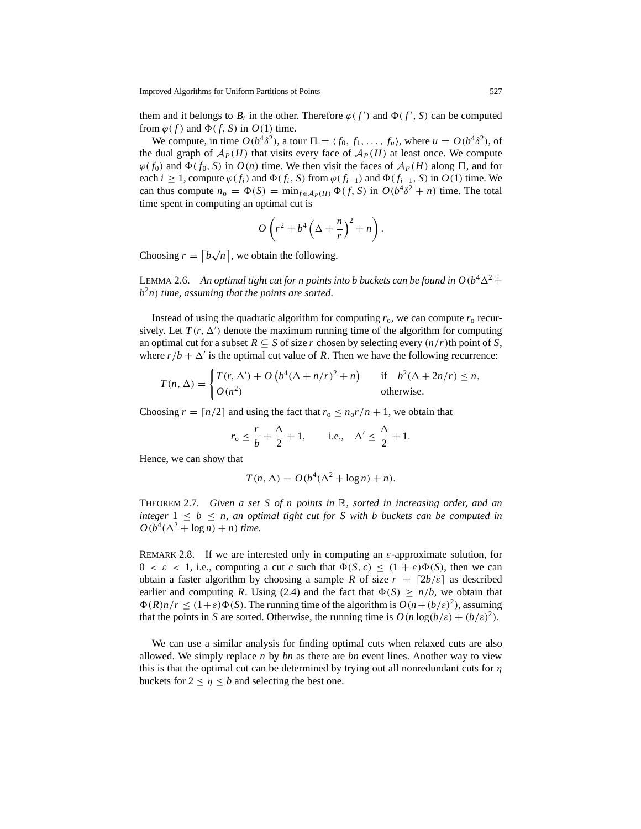them and it belongs to  $B_i$  in the other. Therefore  $\varphi(f')$  and  $\Phi(f', S)$  can be computed from  $\varphi(f)$  and  $\Phi(f, S)$  in  $O(1)$  time.

We compute, in time  $O(b^4\delta^2)$ , a tour  $\Pi = \langle f_0, f_1, \ldots, f_u \rangle$ , where  $u = O(b^4\delta^2)$ , of the dual graph of  $A_P(H)$  that visits every face of  $A_P(H)$  at least once. We compute  $\varphi(f_0)$  and  $\Phi(f_0, S)$  in  $O(n)$  time. We then visit the faces of  $\mathcal{A}_P(H)$  along  $\Pi$ , and for each *i* ≥ 1, compute  $\varphi(f_i)$  and  $\Phi(f_i, S)$  from  $\varphi(f_{i-1})$  and  $\Phi(f_{i-1}, S)$  in  $O(1)$  time. We can thus compute  $n_0 = \Phi(S) = \min_{f \in A_P(H)} \Phi(f, S)$  in  $O(b^4 \delta^2 + n)$  time. The total time spent in computing an optimal cut is

$$
O\left(r^2+b^4\left(\Delta+\frac{n}{r}\right)^2+n\right).
$$

Choosing  $r = \lceil b\sqrt{n} \rceil$ , we obtain the following.

LEMMA 2.6. An optimal tight cut for n points into b buckets can be found in  $O(b^4\Delta^2 +$ *b*<sup>2</sup>*n*) *time*, *assuming that the points are sorted*.

Instead of using the quadratic algorithm for computing  $r_0$ , we can compute  $r_0$  recursively. Let  $T(r, \Delta')$  denote the maximum running time of the algorithm for computing an optimal cut for a subset  $R \subseteq S$  of size *r* chosen by selecting every  $(n/r)$ th point of *S*, where  $r/b + \Delta'$  is the optimal cut value of *R*. Then we have the following recurrence:

$$
T(n,\Delta) = \begin{cases} T(r,\Delta') + O\left(b^4(\Delta + n/r)^2 + n\right) & \text{if } b^2(\Delta + 2n/r) \le n, \\ O(n^2) & \text{otherwise.} \end{cases}
$$

Choosing  $r = \lceil n/2 \rceil$  and using the fact that  $r_0 \le n_0 r/n + 1$ , we obtain that

$$
r_0 \leq \frac{r}{b} + \frac{\Delta}{2} + 1
$$
, i.e.,  $\Delta' \leq \frac{\Delta}{2} + 1$ .

Hence, we can show that

$$
T(n, \Delta) = O(b^4(\Delta^2 + \log n) + n).
$$

THEOREM 2.7. *Given a set S of n points in* R, *sorted in increasing order*, *and an integer*  $1 \leq b \leq n$ , *an optimal tight cut for* S with *b* buckets can be computed in  $O(b^4(\Delta^2 + \log n) + n)$  *time*.

REMARK 2.8. If we are interested only in computing an  $\varepsilon$ -approximate solution, for  $0 < \varepsilon < 1$ , i.e., computing a cut *c* such that  $\Phi(S, c) \leq (1 + \varepsilon)\Phi(S)$ , then we can obtain a faster algorithm by choosing a sample *R* of size  $r = \lfloor 2b/\varepsilon \rfloor$  as described earlier and computing *R*. Using (2.4) and the fact that  $\Phi(S) \ge n/b$ , we obtain that  $\Phi(R)n/r \leq (1+\varepsilon)\Phi(S)$ . The running time of the algorithm is  $O(n+(b/\varepsilon)^2)$ , assuming that the points in *S* are sorted. Otherwise, the running time is  $O(n \log(b/\varepsilon) + (b/\varepsilon)^2)$ .

We can use a similar analysis for finding optimal cuts when relaxed cuts are also allowed. We simply replace *n* by *bn* as there are *bn* event lines. Another way to view this is that the optimal cut can be determined by trying out all nonredundant cuts for  $\eta$ buckets for  $2 < \eta < b$  and selecting the best one.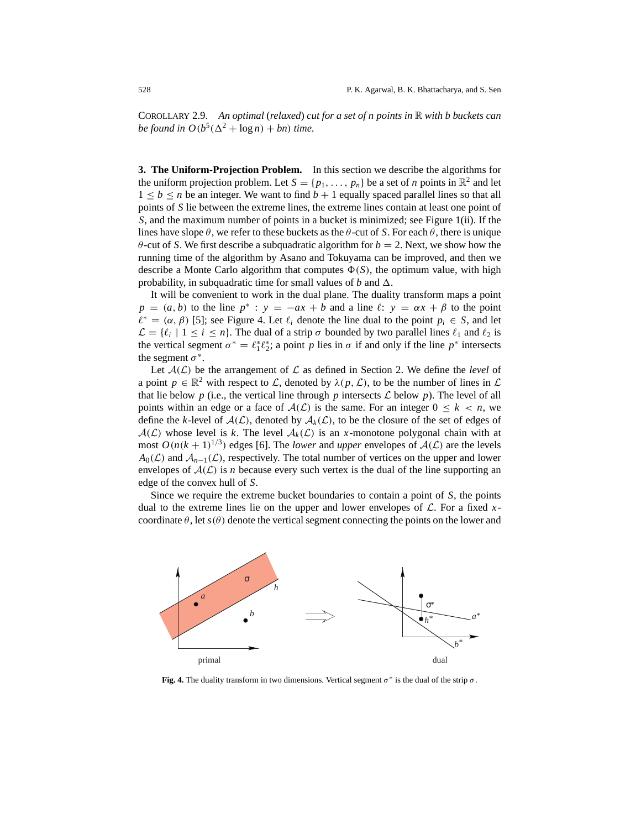COROLLARY 2.9. *An optimal* (*relaxed*) *cut for a set of n points in* R *with b buckets can be found in*  $O(b^5(\Delta^2 + \log n) + bn)$  *time.* 

**3. The Uniform-Projection Problem.** In this section we describe the algorithms for the uniform projection problem. Let  $S = \{p_1, \ldots, p_n\}$  be a set of *n* points in  $\mathbb{R}^2$  and let  $1 \leq b \leq n$  be an integer. We want to find  $b + 1$  equally spaced parallel lines so that all points of *S* lie between the extreme lines, the extreme lines contain at least one point of *S*, and the maximum number of points in a bucket is minimized; see Figure 1(ii). If the lines have slope  $\theta$ , we refer to these buckets as the  $\theta$ -cut of *S*. For each  $\theta$ , there is unique  $\theta$ -cut of *S*. We first describe a subquadratic algorithm for  $b = 2$ . Next, we show how the running time of the algorithm by Asano and Tokuyama can be improved, and then we describe a Monte Carlo algorithm that computes  $\Phi(S)$ , the optimum value, with high probability, in subquadratic time for small values of  $b$  and  $\Delta$ .

It will be convenient to work in the dual plane. The duality transform maps a point  $p = (a, b)$  to the line  $p^*$ :  $y = -ax + b$  and a line  $\ell$ :  $y = \alpha x + \beta$  to the point  $\ell^* = (\alpha, \beta)$  [5]; see Figure 4. Let  $\ell_i$  denote the line dual to the point  $p_i \in S$ , and let  $\mathcal{L} = \{\ell_i \mid 1 \leq i \leq n\}.$  The dual of a strip  $\sigma$  bounded by two parallel lines  $\ell_1$  and  $\ell_2$  is the vertical segment  $\sigma^* = \ell_1^* \ell_2^*$ ; a point *p* lies in  $\sigma$  if and only if the line  $p^*$  intersects the segment  $\sigma^*$ .

Let  $A(\mathcal{L})$  be the arrangement of  $\mathcal L$  as defined in Section 2. We define the *level* of a point  $p \in \mathbb{R}^2$  with respect to L, denoted by  $\lambda(p, \mathcal{L})$ , to be the number of lines in L that lie below p (i.e., the vertical line through p intersects  $\mathcal L$  below p). The level of all points within an edge or a face of  $A(\mathcal{L})$  is the same. For an integer  $0 \leq k < n$ , we define the *k*-level of  $A(\mathcal{L})$ , denoted by  $A_k(\mathcal{L})$ , to be the closure of the set of edges of  $A(\mathcal{L})$  whose level is k. The level  $A_k(\mathcal{L})$  is an x-monotone polygonal chain with at most  $O(n(k+1)^{1/3})$  edges [6]. The *lower* and *upper* envelopes of  $A(\mathcal{L})$  are the levels  $A_0(\mathcal{L})$  and  $\mathcal{A}_{n-1}(\mathcal{L})$ , respectively. The total number of vertices on the upper and lower envelopes of  $A(\mathcal{L})$  is *n* because every such vertex is the dual of the line supporting an edge of the convex hull of *S*.

Since we require the extreme bucket boundaries to contain a point of *S*, the points dual to the extreme lines lie on the upper and lower envelopes of  $\mathcal{L}$ . For a fixed xcoordinate  $\theta$ , let  $s(\theta)$  denote the vertical segment connecting the points on the lower and



**Fig. 4.** The duality transform in two dimensions. Vertical segment  $\sigma^*$  is the dual of the strip  $\sigma$ .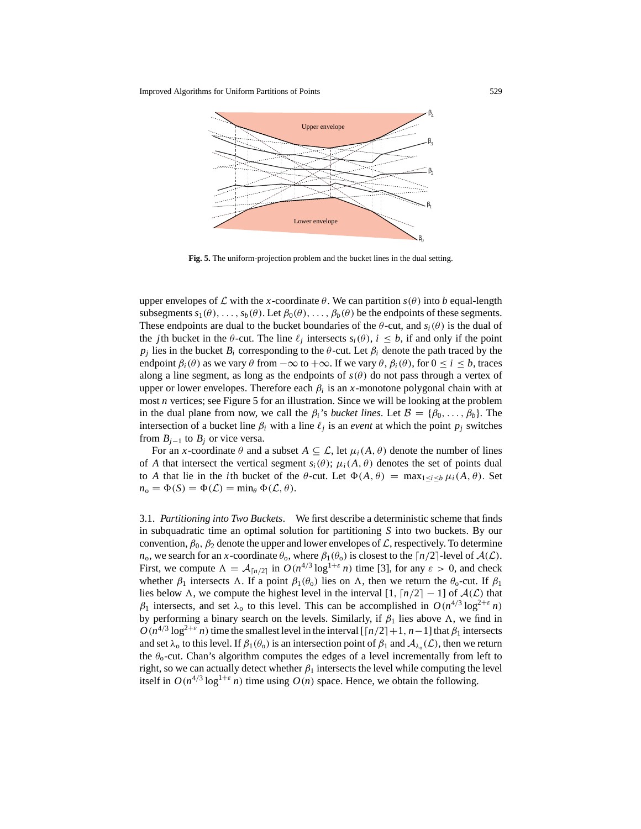

**Fig. 5.** The uniform-projection problem and the bucket lines in the dual setting.

upper envelopes of  $\mathcal L$  with the *x*-coordinate  $\theta$ . We can partition  $s(\theta)$  into *b* equal-length subsegments  $s_1(\theta), \ldots, s_b(\theta)$ . Let  $\beta_0(\theta), \ldots, \beta_b(\theta)$  be the endpoints of these segments. These endpoints are dual to the bucket boundaries of the  $\theta$ -cut, and  $s_i(\theta)$  is the dual of the *j*th bucket in the  $\theta$ -cut. The line  $\ell_i$  intersects  $s_i(\theta)$ ,  $i \leq b$ , if and only if the point  $p_i$  lies in the bucket  $B_i$  corresponding to the  $\theta$ -cut. Let  $\beta_i$  denote the path traced by the endpoint  $\beta_i(\theta)$  as we vary  $\theta$  from  $-\infty$  to  $+\infty$ . If we vary  $\theta$ ,  $\beta_i(\theta)$ , for  $0 \le i \le b$ , traces along a line segment, as long as the endpoints of  $s(\theta)$  do not pass through a vertex of upper or lower envelopes. Therefore each  $\beta_i$  is an *x*-monotone polygonal chain with at most *n* vertices; see Figure 5 for an illustration. Since we will be looking at the problem in the dual plane from now, we call the  $\beta_i$ 's *bucket lines*. Let  $\mathcal{B} = {\beta_0, \ldots, \beta_b}$ . The intersection of a bucket line  $\beta_i$  with a line  $\ell_j$  is an *event* at which the point  $p_j$  switches from *Bj*<sup>−</sup><sup>1</sup> to *Bj* or vice versa.

For an *x*-coordinate  $\theta$  and a subset  $A \subseteq \mathcal{L}$ , let  $\mu_i(A, \theta)$  denote the number of lines of *A* that intersect the vertical segment  $s_i(\theta)$ ;  $\mu_i(A, \theta)$  denotes the set of points dual to *A* that lie in the *i*th bucket of the  $\theta$ -cut. Let  $\Phi(A, \theta) = \max_{1 \le i \le b} \mu_i(A, \theta)$ . Set  $n_o = \Phi(S) = \Phi(\mathcal{L}) = \min_{\theta} \Phi(\mathcal{L}, \theta).$ 

3.1. *Partitioning into Two Buckets*. We first describe a deterministic scheme that finds in subquadratic time an optimal solution for partitioning *S* into two buckets. By our convention,  $\beta_0$ ,  $\beta_2$  denote the upper and lower envelopes of  $\mathcal{L}$ , respectively. To determine *n*<sub>o</sub>, we search for an *x*-coordinate  $\theta_0$ , where  $\beta_1(\theta_0)$  is closest to the  $\lceil n/2 \rceil$ -level of  $\mathcal{A}(\mathcal{L})$ . First, we compute  $\Lambda = \mathcal{A}_{\lceil n/2 \rceil}$  in  $O(n^{4/3} \log^{1+\epsilon} n)$  time [3], for any  $\epsilon > 0$ , and check whether  $\beta_1$  intersects  $\Lambda$ . If a point  $\beta_1(\theta_0)$  lies on  $\Lambda$ , then we return the  $\theta_0$ -cut. If  $\beta_1$ lies below  $\Lambda$ , we compute the highest level in the interval [1,  $\lceil n/2 \rceil - 1$ ] of  $\mathcal{A}(\mathcal{L})$  that  $β_1$  intersects, and set  $λ_0$  to this level. This can be accomplished in  $O(n^{4/3} \log^{2+\epsilon} n)$ by performing a binary search on the levels. Similarly, if  $\beta_1$  lies above  $\Lambda$ , we find in  $O(n^{4/3} \log^{2+\epsilon} n)$  time the smallest level in the interval [ $\lceil n/2 \rceil + 1$ , *n*−1] that  $\beta_1$  intersects and set  $\lambda_0$  to this level. If  $\beta_1(\theta_0)$  is an intersection point of  $\beta_1$  and  $\mathcal{A}_{\lambda_0}(\mathcal{L})$ , then we return the  $\theta_0$ -cut. Chan's algorithm computes the edges of a level incrementally from left to right, so we can actually detect whether  $\beta_1$  intersects the level while computing the level itself in  $O(n^{4/3} \log^{1+\epsilon} n)$  time using  $O(n)$  space. Hence, we obtain the following.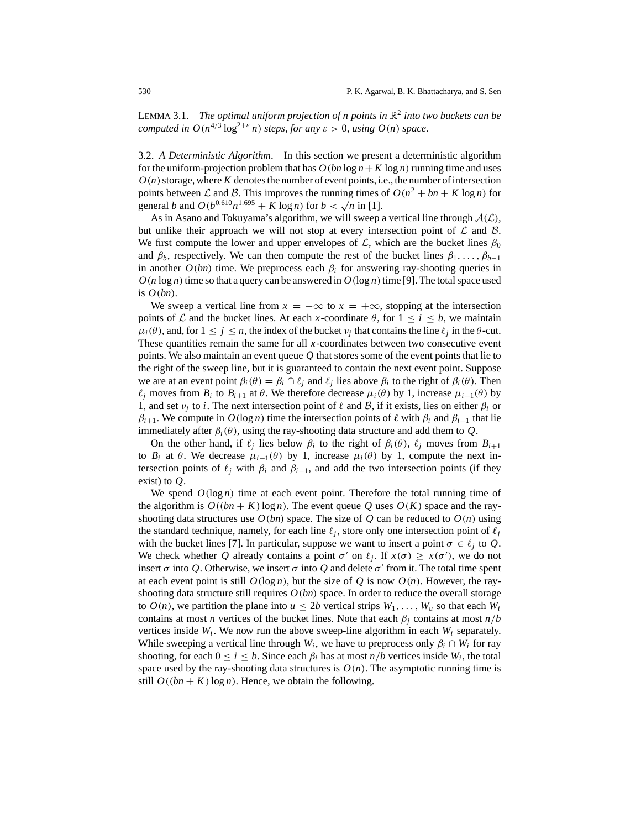LEMMA 3.1. *The optimal uniform projection of n points in*  $\mathbb{R}^2$  *into two buckets can be computed in*  $O(n^{4/3} \log^{2+\epsilon} n)$  *steps, for any*  $\epsilon > 0$ *, using*  $O(n)$  *space.* 

3.2. *A Deterministic Algorithm*. In this section we present a deterministic algorithm for the uniform-projection problem that has  $O(bn \log n + K \log n)$  running time and uses  $O(n)$  storage, where  $K$  denotes the number of event points, i.e., the number of intersection points between L and B. This improves the running times of  $O(n^2 + bn + K \log n)$  for general *b* and  $O(b^{0.610}n^{1.695} + K \log n)$  for  $b < \sqrt{n}$  in [1].

As in Asano and Tokuyama's algorithm, we will sweep a vertical line through  $A(\mathcal{L})$ , but unlike their approach we will not stop at every intersection point of  $\mathcal L$  and  $\mathcal B$ . We first compute the lower and upper envelopes of L, which are the bucket lines  $\beta_0$ and  $\beta_b$ , respectively. We can then compute the rest of the bucket lines  $\beta_1, \ldots, \beta_{b-1}$ in another  $O(bn)$  time. We preprocess each  $\beta_i$  for answering ray-shooting queries in  $O(n \log n)$  time so that a query can be answered in  $O(\log n)$  time [9]. The total space used is *O*(*bn*).

We sweep a vertical line from  $x = -\infty$  to  $x = +\infty$ , stopping at the intersection points of L and the bucket lines. At each x-coordinate  $\theta$ , for  $1 \le i \le b$ , we maintain  $\mu_i(\theta)$ , and, for  $1 \leq j \leq n$ , the index of the bucket  $\nu_i$  that contains the line  $\ell_i$  in the  $\theta$ -cut. These quantities remain the same for all *x*-coordinates between two consecutive event points. We also maintain an event queue *Q* that stores some of the event points that lie to the right of the sweep line, but it is guaranteed to contain the next event point. Suppose we are at an event point  $\beta_i(\theta) = \beta_i \cap \ell_i$  and  $\ell_i$  lies above  $\beta_i$  to the right of  $\beta_i(\theta)$ . Then  $\ell_i$  moves from  $B_i$  to  $B_{i+1}$  at  $\theta$ . We therefore decrease  $\mu_i(\theta)$  by 1, increase  $\mu_{i+1}(\theta)$  by 1, and set  $v_i$  to *i*. The next intersection point of  $\ell$  and  $\mathcal{B}$ , if it exists, lies on either  $\beta_i$  or  $\beta_{i+1}$ . We compute in  $O(\log n)$  time the intersection points of  $\ell$  with  $\beta_i$  and  $\beta_{i+1}$  that lie immediately after  $\beta_i(\theta)$ , using the ray-shooting data structure and add them to *Q*.

On the other hand, if  $\ell_j$  lies below  $\beta_i$  to the right of  $\beta_i(\theta)$ ,  $\ell_j$  moves from  $B_{i+1}$ to  $B_i$  at  $\theta$ . We decrease  $\mu_{i+1}(\theta)$  by 1, increase  $\mu_i(\theta)$  by 1, compute the next intersection points of  $\ell_j$  with  $\beta_i$  and  $\beta_{i-1}$ , and add the two intersection points (if they exist) to *Q*.

We spend  $O(\log n)$  time at each event point. Therefore the total running time of the algorithm is  $O((bn + K) \log n)$ . The event queue Q uses  $O(K)$  space and the rayshooting data structures use  $O(bn)$  space. The size of  $Q$  can be reduced to  $O(n)$  using the standard technique, namely, for each line  $\ell_j$ , store only one intersection point of  $\ell_j$ with the bucket lines [7]. In particular, suppose we want to insert a point  $\sigma \in \ell_i$  to *Q*. We check whether *Q* already contains a point  $\sigma'$  on  $\ell_j$ . If  $x(\sigma) \geq x(\sigma')$ , we do not insert  $\sigma$  into Q. Otherwise, we insert  $\sigma$  into Q and delete  $\sigma'$  from it. The total time spent at each event point is still  $O(\log n)$ , but the size of  $Q$  is now  $O(n)$ . However, the rayshooting data structure still requires  $O(bn)$  space. In order to reduce the overall storage to  $O(n)$ , we partition the plane into  $u \le 2b$  vertical strips  $W_1, \ldots, W_u$  so that each  $W_i$ contains at most *n* vertices of the bucket lines. Note that each  $\beta_i$  contains at most  $n/b$ vertices inside  $W_i$ . We now run the above sweep-line algorithm in each  $W_i$  separately. While sweeping a vertical line through  $W_i$ , we have to preprocess only  $\beta_i \cap W_i$  for ray shooting, for each  $0 \le i \le b$ . Since each  $\beta_i$  has at most  $n/b$  vertices inside  $W_i$ , the total space used by the ray-shooting data structures is  $O(n)$ . The asymptotic running time is still  $O((bn + K) \log n)$ . Hence, we obtain the following.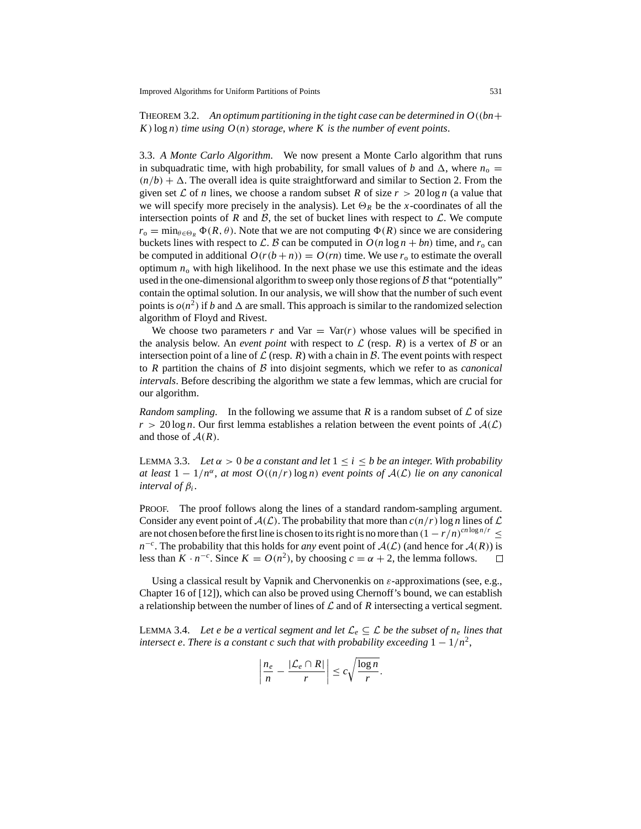THEOREM 3.2. An optimum partitioning in the tight case can be determined in  $O((bn +$ *K*)log *n*) *time using O*(*n*) *storage*, *where K is the number of event points*.

3.3. *A Monte Carlo Algorithm*. We now present a Monte Carlo algorithm that runs in subquadratic time, with high probability, for small values of *b* and  $\Delta$ , where  $n_0 =$  $(n/b) + \Delta$ . The overall idea is quite straightforward and similar to Section 2. From the given set  $\mathcal L$  of *n* lines, we choose a random subset *R* of size  $r > 20 \log n$  (a value that we will specify more precisely in the analysis). Let  $\Theta_R$  be the *x*-coordinates of all the intersection points of  $R$  and  $B$ , the set of bucket lines with respect to  $\mathcal{L}$ . We compute  $r_0 = \min_{\theta \in \Theta_R} \Phi(R, \theta)$ . Note that we are not computing  $\Phi(R)$  since we are considering buckets lines with respect to L. B can be computed in  $O(n \log n + bn)$  time, and  $r_0$  can be computed in additional  $O(r(b+n)) = O(rn)$  time. We use  $r_0$  to estimate the overall optimum  $n<sub>o</sub>$  with high likelihood. In the next phase we use this estimate and the ideas used in the one-dimensional algorithm to sweep only those regions of  $\beta$  that "potentially" contain the optimal solution. In our analysis, we will show that the number of such event points is  $o(n^2)$  if *b* and  $\Delta$  are small. This approach is similar to the randomized selection algorithm of Floyd and Rivest.

We choose two parameters *r* and Var  $=$  Var $(r)$  whose values will be specified in the analysis below. An *event point* with respect to  $\mathcal L$  (resp. *R*) is a vertex of  $\mathcal B$  or an intersection point of a line of  $\mathcal L$  (resp. *R*) with a chain in  $\mathcal B$ . The event points with respect to *R* partition the chains of B into disjoint segments, which we refer to as *canonical intervals*. Before describing the algorithm we state a few lemmas, which are crucial for our algorithm.

*Random sampling*. In the following we assume that *R* is a random subset of  $\mathcal L$  of size  $r > 20 \log n$ . Our first lemma establishes a relation between the event points of  $A(\mathcal{L})$ and those of  $A(R)$ .

LEMMA 3.3. *Let*  $\alpha > 0$  *be a constant and let*  $1 \le i \le b$  *be an integer. With probability at least*  $1 - 1/n^{\alpha}$ , *at most*  $O((n/r) \log n)$  *event points of*  $A(\mathcal{L})$  *lie on any canonical interval of* β*<sup>i</sup>* .

PROOF. The proof follows along the lines of a standard random-sampling argument. Consider any event point of  $A(\mathcal{L})$ . The probability that more than  $c(n/r)$  log *n* lines of  $\mathcal L$ are not chosen before the first line is chosen to its right is no more than  $(1 - r/n)^{cn \log n/r} \le$ *n*<sup>−*c*</sup>. The probability that this holds for *any* event point of  $A(L)$  (and hence for  $A(R)$ ) is less than  $K \cdot n^{-c}$ . Since  $K = O(n^2)$ , by choosing  $c = \alpha + 2$ , the lemma follows. less than  $K \cdot n^{-c}$ . Since  $K = O(n^2)$ , by choosing  $c = \alpha + 2$ , the lemma follows.

Using a classical result by Vapnik and Chervonenkis on  $\varepsilon$ -approximations (see, e.g., Chapter 16 of [12]), which can also be proved using Chernoff's bound, we can establish a relationship between the number of lines of  $\mathcal L$  and of  $R$  intersecting a vertical segment.

LEMMA 3.4. Let e be a vertical segment and let  $\mathcal{L}_e \subseteq \mathcal{L}$  be the subset of  $n_e$  lines that *intersect e. There is a constant c such that with probability exceeding*  $1 - 1/n^2$ ,

$$
\left|\frac{n_e}{n} - \frac{|\mathcal{L}_e \cap R|}{r}\right| \leq c \sqrt{\frac{\log n}{r}}.
$$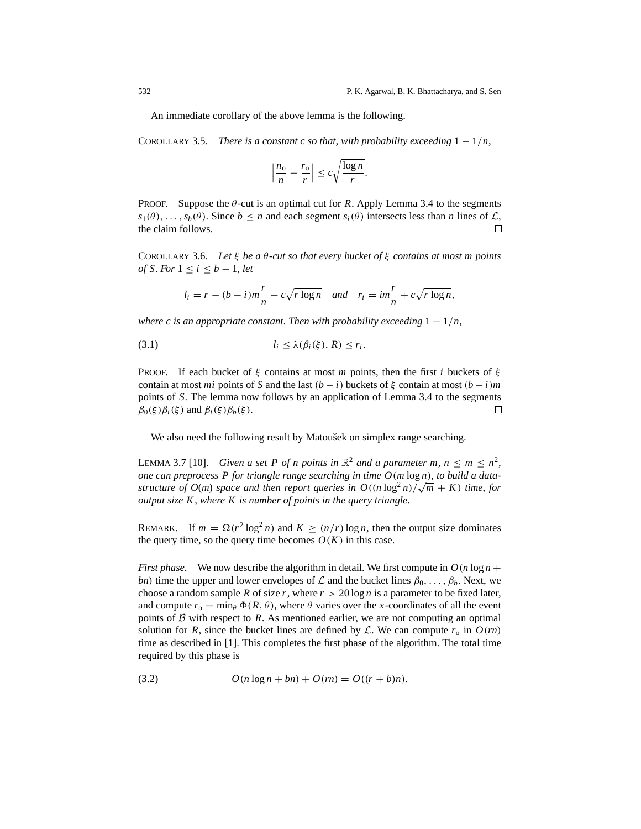An immediate corollary of the above lemma is the following.

COROLLARY 3.5. *There is a constant c so that, with probability exceeding*  $1 - 1/n$ ,

$$
\left|\frac{n_o}{n} - \frac{r_o}{r}\right| \le c\sqrt{\frac{\log n}{r}}.
$$

**PROOF.** Suppose the  $\theta$ -cut is an optimal cut for *R*. Apply Lemma 3.4 to the segments  $s_1(\theta), \ldots, s_b(\theta)$ . Since  $b \le n$  and each segment  $s_i(\theta)$  intersects less than *n* lines of  $\mathcal{L}$ , the claim follows. the claim follows.

COROLLARY 3.6. *Let* ξ *be a* θ*-cut so that every bucket of* ξ *contains at most m points of S*. *For* 1 ≤ *i* ≤ *b* − 1, *let*

$$
l_i = r - (b - i)m\frac{r}{n} - c\sqrt{r \log n}
$$
 and  $r_i = im\frac{r}{n} + c\sqrt{r \log n}$ ,

*where c is an appropriate constant. Then with probability exceeding*  $1 - 1/n$ ,

$$
(3.1) \t\t\t l_i \leq \lambda(\beta_i(\xi), R) \leq r_i.
$$

PROOF. If each bucket of  $\xi$  contains at most *m* points, then the first *i* buckets of  $\xi$ contain at most *mi* points of *S* and the last  $(b - i)$  buckets of  $\xi$  contain at most  $(b - i)m$ points of *S*. The lemma now follows by an application of Lemma 3.4 to the segments  $\beta_0(\xi)\beta_i(\xi)$  and  $\beta_i(\xi)\beta_b(\xi)$ .  $\Box$ 

We also need the following result by Matoušek on simplex range searching.

LEMMA 3.7 [10]. *Given a set P of n points in*  $\mathbb{R}^2$  *and a parameter m, n*  $\leq m \leq n^2$ , *one can preprocess P for triangle range searching in time O*(*m* log *n*), *to build a datastructure of O(m) space and then report queries in*  $O((n \log^2 n)/\sqrt{m} + K)$  *time, for output size K*, *where K is number of points in the query triangle*.

REMARK. If  $m = \Omega(r^2 \log^2 n)$  and  $K \ge (n/r) \log n$ , then the output size dominates the query time, so the query time becomes  $O(K)$  in this case.

*First phase.* We now describe the algorithm in detail. We first compute in  $O(n \log n +$ *bn*) time the upper and lower envelopes of  $\mathcal L$  and the bucket lines  $\beta_0, \ldots, \beta_b$ . Next, we choose a random sample *R* of size *r*, where  $r > 20 \log n$  is a parameter to be fixed later, and compute  $r_0 = \min_{\theta} \Phi(R, \theta)$ , where  $\theta$  varies over the *x*-coordinates of all the event points of  $\beta$  with respect to  $\beta$ . As mentioned earlier, we are not computing an optimal solution for *R*, since the bucket lines are defined by *L*. We can compute  $r_0$  in  $O(rn)$ time as described in [1]. This completes the first phase of the algorithm. The total time required by this phase is

(3.2) 
$$
O(n \log n + bn) + O(m) = O((r + b)n).
$$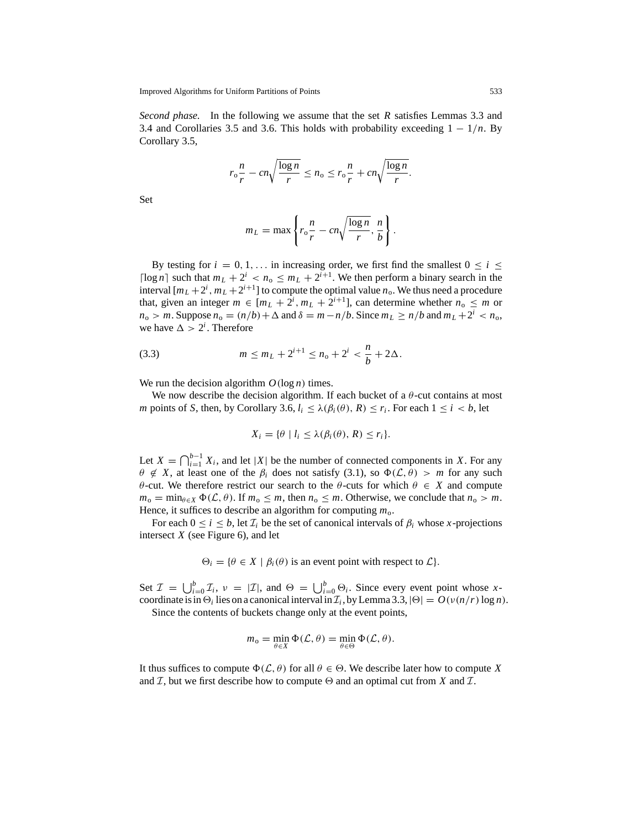*Second phase*. In the following we assume that the set *R* satisfies Lemmas 3.3 and 3.4 and Corollaries 3.5 and 3.6. This holds with probability exceeding  $1 - 1/n$ . By Corollary 3.5,

$$
r_{\rm o} \frac{n}{r} - cn \sqrt{\frac{\log n}{r}} \le n_{\rm o} \le r_{\rm o} \frac{n}{r} + cn \sqrt{\frac{\log n}{r}}.
$$

Set

$$
m_L = \max \left\{ r_0 \frac{n}{r} - cn \sqrt{\frac{\log n}{r}}, \frac{n}{b} \right\}.
$$

By testing for  $i = 0, 1, \ldots$  in increasing order, we first find the smallest  $0 \le i \le$ [ $\log n$ ] such that  $m_L + 2^i < n_o \le m_L + 2^{i+1}$ . We then perform a binary search in the interval  $[m_L + 2^i, m_L + 2^{i+1}]$  to compute the optimal value  $n_o$ . We thus need a procedure that, given an integer  $m \in [m_L + 2^i, m_L + 2^{i+1}]$ , can determine whether  $n_0 \leq m$  or  $n_o > m$ . Suppose  $n_o = (n/b) + \Delta$  and  $\delta = m - n/b$ . Since  $m_L \ge n/b$  and  $m_L + 2^i < n_o$ , we have  $\Delta > 2^i$ . Therefore

(3.3) 
$$
m \le m_L + 2^{i+1} \le n_0 + 2^i < \frac{n}{b} + 2\Delta.
$$

We run the decision algorithm  $O(\log n)$  times.

We now describe the decision algorithm. If each bucket of a  $\theta$ -cut contains at most *m* points of *S*, then, by Corollary 3.6,  $l_i \leq \lambda(\beta_i(\theta), R) \leq r_i$ . For each  $1 \leq i \leq b$ , let

$$
X_i = \{ \theta \mid l_i \leq \lambda(\beta_i(\theta), R) \leq r_i \}.
$$

Let  $X = \bigcap_{i=1}^{b-1} X_i$ , and let |*X*| be the number of connected components in *X*. For any  $\theta \notin X$ , at least one of the  $\beta_i$  does not satisfy (3.1), so  $\Phi(\mathcal{L}, \theta) > m$  for any such θ-cut. We therefore restrict our search to the θ-cuts for which θ ∈ *X* and compute  $m_0 = \min_{\theta \in X} \Phi(\mathcal{L}, \theta)$ . If  $m_0 \leq m$ , then  $n_0 \leq m$ . Otherwise, we conclude that  $n_0 > m$ . Hence, it suffices to describe an algorithm for computing  $m_0$ .

For each  $0 \le i \le b$ , let  $\mathcal{I}_i$  be the set of canonical intervals of  $\beta_i$  whose *x*-projections intersect *X* (see Figure 6), and let

 $\Theta_i = \{\theta \in X \mid \beta_i(\theta) \text{ is an event point with respect to } \mathcal{L}\}.$ 

Set  $\mathcal{I} = \bigcup_{i=0}^{b} \mathcal{I}_i$ ,  $\nu = |\mathcal{I}|$ , and  $\Theta = \bigcup_{i=0}^{b} \Theta_i$ . Since every event point whose *x*coordinate is in  $\Theta_i$  lies on a canonical interval in  $\mathcal{I}_i$ , by Lemma 3.3,  $|\Theta| = O(\nu(n/r) \log n)$ .

Since the contents of buckets change only at the event points,

$$
m_{o} = \min_{\theta \in X} \Phi(\mathcal{L}, \theta) = \min_{\theta \in \Theta} \Phi(\mathcal{L}, \theta).
$$

It thus suffices to compute  $\Phi(\mathcal{L}, \theta)$  for all  $\theta \in \Theta$ . We describe later how to compute *X* and  $\mathcal I$ , but we first describe how to compute  $\Theta$  and an optimal cut from *X* and  $\mathcal I$ .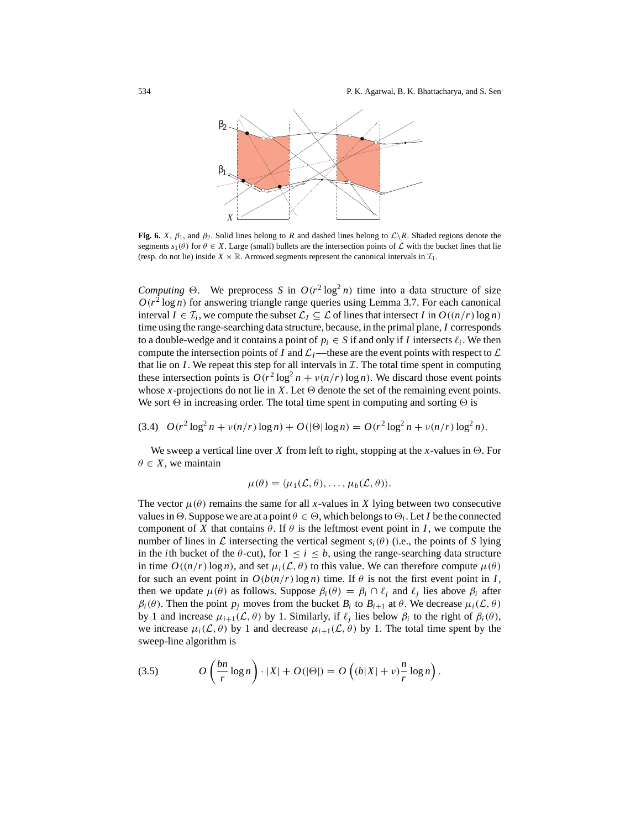

**Fig. 6.** *X*,  $\beta_1$ , and  $\beta_2$ . Solid lines belong to *R* and dashed lines belong to  $\mathcal{L}\backslash R$ . Shaded regions denote the segments  $s_1(\theta)$  for  $\theta \in X$ . Large (small) bullets are the intersection points of  $\mathcal L$  with the bucket lines that lie (resp. do not lie) inside  $X \times \mathbb{R}$ . Arrowed segments represent the canonical intervals in  $\mathcal{I}_1$ .

*Computing*  $\Theta$ . We preprocess *S* in  $O(r^2 \log^2 n)$  time into a data structure of size  $O(r^2 \log n)$  for answering triangle range queries using Lemma 3.7. For each canonical interval  $I \in \mathcal{I}_i$ , we compute the subset  $\mathcal{L}_I \subseteq \mathcal{L}$  of lines that intersect *I* in  $O((n/r) \log n)$ time using the range-searching data structure, because, in the primal plane, *I* corresponds to a double-wedge and it contains a point of  $p_i \in S$  if and only if *I* intersects  $\ell_i$ . We then compute the intersection points of *I* and  $\mathcal{L}_I$ —these are the event points with respect to  $\mathcal{L}$ that lie on  $I$ . We repeat this step for all intervals in  $I$ . The total time spent in computing these intersection points is  $O(r^2 \log^2 n + v(n/r) \log n)$ . We discard those event points whose *x*-projections do not lie in *X*. Let  $\Theta$  denote the set of the remaining event points. We sort  $\Theta$  in increasing order. The total time spent in computing and sorting  $\Theta$  is

$$
(3.4) O(r^2 \log^2 n + v(n/r) \log n) + O(|\Theta| \log n) = O(r^2 \log^2 n + v(n/r) \log^2 n).
$$

We sweep a vertical line over X from left to right, stopping at the x-values in  $\Theta$ . For  $\theta \in X$ , we maintain

$$
\mu(\theta) = \langle \mu_1(\mathcal{L}, \theta), \ldots, \mu_b(\mathcal{L}, \theta) \rangle.
$$

The vector  $\mu(\theta)$  remains the same for all *x*-values in *X* lying between two consecutive values in  $\Theta$ . Suppose we are at a point  $\theta \in \Theta$ , which belongs to  $\Theta_i$ . Let *I* be the connected component of *X* that contains  $\theta$ . If  $\theta$  is the leftmost event point in *I*, we compute the number of lines in  $\mathcal L$  intersecting the vertical segment  $s_i(\theta)$  (i.e., the points of *S* lying in the *i*th bucket of the  $\theta$ -cut), for  $1 \le i \le b$ , using the range-searching data structure in time  $O((n/r) \log n)$ , and set  $\mu_i(\mathcal{L}, \theta)$  to this value. We can therefore compute  $\mu(\theta)$ for such an event point in  $O(b(n/r) \log n)$  time. If  $\theta$  is not the first event point in *I*, then we update  $\mu(\theta)$  as follows. Suppose  $\beta_i(\theta) = \beta_i \cap \ell_j$  and  $\ell_j$  lies above  $\beta_i$  after  $\beta_i(\theta)$ . Then the point  $p_j$  moves from the bucket  $B_i$  to  $B_{i+1}$  at  $\theta$ . We decrease  $\mu_i(\mathcal{L}, \theta)$ by 1 and increase  $\mu_{i+1}(\mathcal{L}, \theta)$  by 1. Similarly, if  $\ell_i$  lies below  $\beta_i$  to the right of  $\beta_i(\theta)$ , we increase  $\mu_i(\mathcal{L}, \theta)$  by 1 and decrease  $\mu_{i+1}(\mathcal{L}, \theta)$  by 1. The total time spent by the sweep-line algorithm is

(3.5) 
$$
O\left(\frac{bn}{r}\log n\right) \cdot |X| + O(|\Theta|) = O\left((b|X| + v)\frac{n}{r}\log n\right).
$$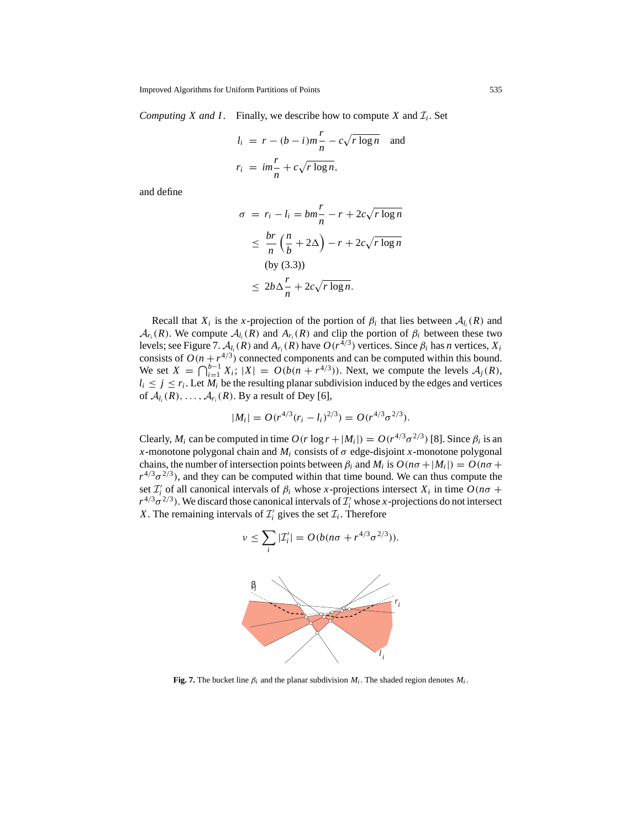*Computing X and I*. Finally, we describe how to compute *X* and  $\mathcal{I}_i$ . Set

$$
l_i = r - (b - i)m\frac{r}{n} - c\sqrt{r \log n} \text{ and}
$$
  

$$
r_i = im\frac{r}{n} + c\sqrt{r \log n},
$$

and define

$$
\sigma = r_i - l_i = bm\frac{r}{n} - r + 2c\sqrt{r \log n}
$$
  
\n
$$
\leq \frac{br}{n} \left(\frac{n}{b} + 2\Delta\right) - r + 2c\sqrt{r \log n}
$$
  
\n(by (3.3))  
\n
$$
\leq 2b\Delta \frac{r}{n} + 2c\sqrt{r \log n}.
$$

Recall that  $X_i$  is the *x*-projection of the portion of  $\beta_i$  that lies between  $\mathcal{A}_{l_i}(R)$  and  $\mathcal{A}_{r_i}(R)$ . We compute  $\mathcal{A}_{l_i}(R)$  and  $A_{r_i}(R)$  and clip the portion of  $\beta_i$  between these two levels; see Figure 7.  $\mathcal{A}_{l_i}(R)$  and  $A_{r_i}(R)$  have  $O(r^{4/3})$  vertices. Since  $\beta_i$  has *n* vertices,  $X_i$ consists of  $O(n + r^{4/3})$  connected components and can be computed within this bound. We set  $X = \bigcap_{i=1}^{b-1} X_i$ ;  $|X| = O(b(n+r^{4/3}))$ . Next, we compute the levels  $A_j(R)$ ,  $l_i \leq j \leq r_i$ . Let  $M_i$  be the resulting planar subdivision induced by the edges and vertices of  $\mathcal{A}_{l_i}(R), \ldots, \mathcal{A}_{r_i}(R)$ . By a result of Dey [6],

$$
|M_i| = O(r^{4/3}(r_i - l_i)^{2/3}) = O(r^{4/3}\sigma^{2/3}).
$$

Clearly,  $M_i$  can be computed in time  $O(r \log r + |M_i|) = O(r^{4/3} \sigma^{2/3})$  [8]. Since  $\beta_i$  is an *x*-monotone polygonal chain and  $M_i$  consists of  $\sigma$  edge-disjoint *x*-monotone polygonal chains, the number of intersection points between  $\beta_i$  and  $M_i$  is  $O(n\sigma + |M_i|) = O(n\sigma +$  $r^{4/3}\sigma^{2/3}$ ), and they can be computed within that time bound. We can thus compute the set  $\mathcal{I}'_i$  of all canonical intervals of  $\beta_i$  whose *x*-projections intersect  $X_i$  in time  $O(n\sigma + \frac{1}{2}a^2\sigma_i^2)$  $r^{4/3}\sigma^{2/3}$ ). We discard those canonical intervals of  $\mathcal{I}'_i$  whose *x*-projections do not intersect *X*. The remaining intervals of  $\mathcal{I}'_i$  gives the set  $\mathcal{I}_i$ . Therefore

$$
\nu \leq \sum_i |\mathcal{I}'_i| = O(b(n\sigma + r^{4/3}\sigma^{2/3})).
$$



**Fig. 7.** The bucket line  $\beta_i$  and the planar subdivision  $M_i$ . The shaded region denotes  $M_i$ .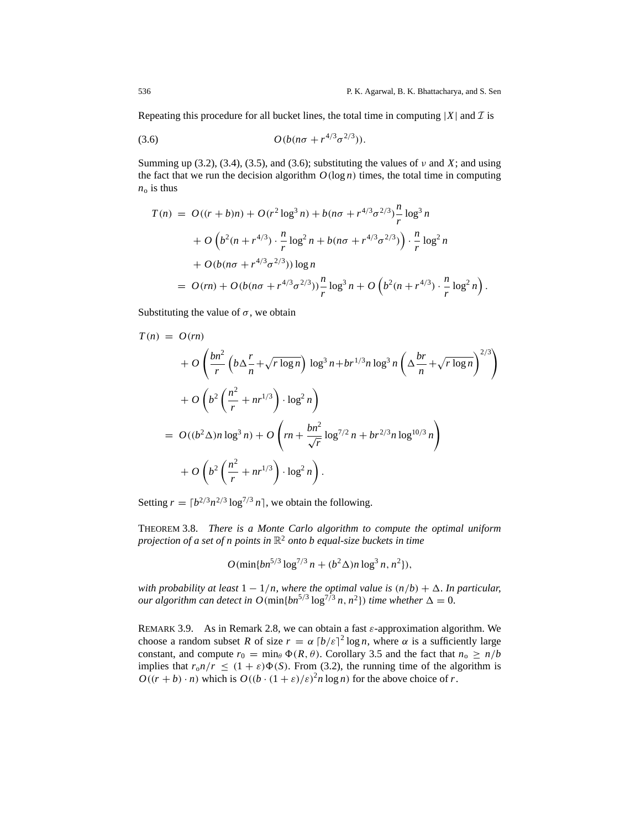Repeating this procedure for all bucket lines, the total time in computing  $|X|$  and  $\mathcal I$  is

(3.6) 
$$
O(b(n\sigma + r^{4/3}\sigma^{2/3})).
$$

Summing up (3.2), (3.4), (3.5), and (3.6); substituting the values of  $\nu$  and  $X$ ; and using the fact that we run the decision algorithm  $O(\log n)$  times, the total time in computing  $n_0$  is thus

$$
T(n) = O((r+b)n) + O(r^{2} \log^{3} n) + b(n\sigma + r^{4/3} \sigma^{2/3}) \frac{n}{r} \log^{3} n
$$
  
+  $O\left(b^{2}(n + r^{4/3}) \cdot \frac{n}{r} \log^{2} n + b(n\sigma + r^{4/3} \sigma^{2/3})\right) \cdot \frac{n}{r} \log^{2} n$   
+  $O(b(n\sigma + r^{4/3} \sigma^{2/3})) \log n$   
=  $O(rn) + O(b(n\sigma + r^{4/3} \sigma^{2/3})) \frac{n}{r} \log^{3} n + O\left(b^{2}(n + r^{4/3}) \cdot \frac{n}{r} \log^{2} n\right).$ 

Substituting the value of  $\sigma$ , we obtain

$$
T(n) = O(rn)
$$
  
+  $O\left(\frac{bn^2}{r}\left(b\Delta \frac{r}{n} + \sqrt{r \log n}\right) \log^3 n + br^{1/3}n \log^3 n \left(\Delta \frac{br}{n} + \sqrt{r \log n}\right)^{2/3}\right)$   
+  $O\left(b^2\left(\frac{n^2}{r} + nr^{1/3}\right) \cdot \log^2 n\right)$   
=  $O((b^2 \Delta)n \log^3 n) + O\left(rn + \frac{bn^2}{\sqrt{r}} \log^{7/2} n + br^{2/3}n \log^{10/3} n\right)$   
+  $O\left(b^2\left(\frac{n^2}{r} + nr^{1/3}\right) \cdot \log^2 n\right).$ 

Setting  $r = \left[b^{2/3}n^{2/3}\log^{7/3}n\right]$ , we obtain the following.

THEOREM 3.8. *There is a Monte Carlo algorithm to compute the optimal uniform projection of a set of n points in* R<sup>2</sup> *onto b equal-size buckets in time*

$$
O(\min\{bn^{5/3}\log^{7/3} n + (b^2\Delta)n\log^3 n, n^2\}),
$$

*with probability at least* 1 − 1/*n*, *where the optimal value is* (*n*/*b*) + 1. *In particular*, *our algorithm can detect in*  $O(\text{min}\{bn^{5/3} \log^{7/3} n, n^2\})$  *time whether*  $\Delta = 0$ .

REMARK 3.9. As in Remark 2.8, we can obtain a fast  $\varepsilon$ -approximation algorithm. We choose a random subset *R* of size  $r = \alpha \left\lceil \frac{b}{\varepsilon} \right\rceil^2 \log n$ , where  $\alpha$  is a sufficiently large constant, and compute  $r_0 = \min_{\theta} \Phi(R, \theta)$ . Corollary 3.5 and the fact that  $n_0 \ge n/b$ implies that  $r_0n/r \leq (1 + \varepsilon)\Phi(S)$ . From (3.2), the running time of the algorithm is  $O((r + b) \cdot n)$  which is  $O((b \cdot (1 + \varepsilon)/\varepsilon)^2 n \log n)$  for the above choice of *r*.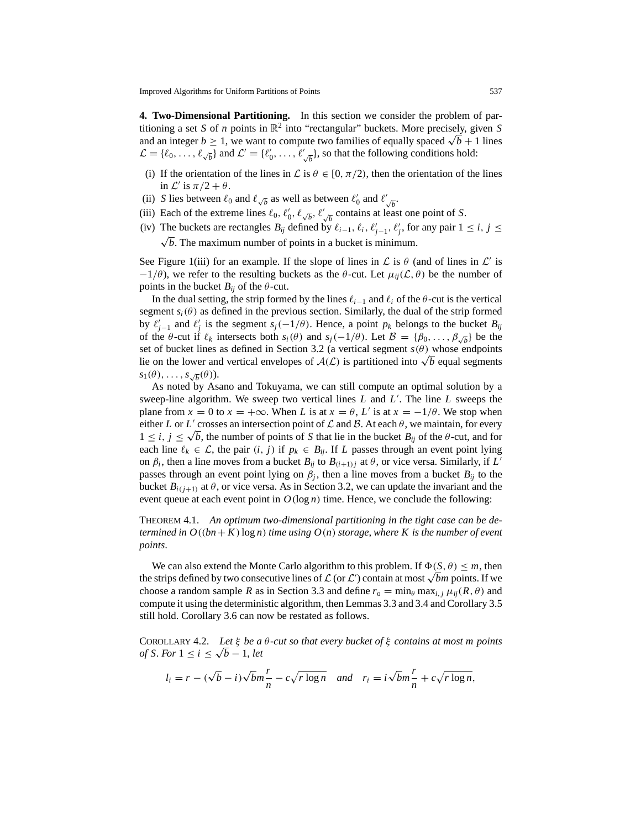**4. Two-Dimensional Partitioning.** In this section we consider the problem of partitioning a set *S* of *n* points in  $\mathbb{R}^2$  into "rectangular" buckets. More precisely, given *S* and an integer  $b \ge 1$ , we want to compute two families of equally spaced  $\sqrt{b+1}$  lines  $\mathcal{L} = \{\ell_0, \ldots, \ell_{\sqrt{b}}\}$  and  $\mathcal{L}' = \{\ell'_0, \ldots, \ell'_{\sqrt{b}}\}$ , so that the following conditions hold:

- (i) If the orientation of the lines in  $\mathcal L$  is  $\theta \in [0, \pi/2)$ , then the orientation of the lines in  $\mathcal{L}'$  is  $\pi/2 + \theta$ .
- (ii) *S* lies between  $\ell_0$  and  $\ell_{\sqrt{b}}$  as well as between  $\ell'_0$  and  $\ell'_{\sqrt{b}}$ .
- (iii) Each of the extreme lines  $\ell_0$ ,  $\ell'_0$ ,  $\ell_{\sqrt{b}}$ ,  $\ell'_{\sqrt{b}}$  contains at least one point of *S*.
- (iv) The buckets are rectangles  $B_{ij}$  defined by  $\ell_{i-1}, \ell_i, \ell'_{j-1}, \ell'_j$ , for any pair  $1 \le i, j \le j$  $\sqrt{b}$ . The maximum number of points in a bucket is minimum.

See Figure 1(iii) for an example. If the slope of lines in  $\mathcal L$  is  $\theta$  (and of lines in  $\mathcal L'$  is  $-1/\theta$ ), we refer to the resulting buckets as the  $\theta$ -cut. Let  $\mu_{ii}(\mathcal{L}, \theta)$  be the number of points in the bucket  $B_{ii}$  of the  $\theta$ -cut.

In the dual setting, the strip formed by the lines  $\ell_{i-1}$  and  $\ell_i$  of the  $\theta$ -cut is the vertical segment  $s_i(\theta)$  as defined in the previous section. Similarly, the dual of the strip formed by  $\ell'_{j-1}$  and  $\ell'_{j}$  is the segment  $s_j(-1/\theta)$ . Hence, a point  $p_k$  belongs to the bucket  $B_{ij}$ of the  $\theta$ -cut if  $\ell_k$  intersects both  $s_i(\theta)$  and  $s_j(-1/\theta)$ . Let  $\mathcal{B} = {\beta_0, \ldots, \beta_{\sqrt{b}}}$  be the set of bucket lines as defined in Section 3.2 (a vertical segment  $s(\theta)$  whose endpoints lie on the lower and vertical envelopes of  $A(\mathcal{L})$  is partitioned into  $\sqrt{b}$  equal segments  $s_1(\theta), \ldots, s_{\sqrt{b}}(\theta)$ .

As noted by Asano and Tokuyama, we can still compute an optimal solution by a sweep-line algorithm. We sweep two vertical lines  $L$  and  $L'$ . The line  $L$  sweeps the plane from  $x = 0$  to  $x = +\infty$ . When *L* is at  $x = \theta$ , *L'* is at  $x = -1/\theta$ . We stop when either *L* or *L'* crosses an intersection point of  $\mathcal L$  and  $\mathcal B$ . At each  $\theta$ , we maintain, for every  $1 \le i, j \le \sqrt{b}$ , the number of points of *S* that lie in the bucket  $B_{ij}$  of the  $\theta$ -cut, and for each line  $\ell_k \in \mathcal{L}$ , the pair  $(i, j)$  if  $p_k \in B_{ij}$ . If *L* passes through an event point lying on  $\beta_i$ , then a line moves from a bucket  $B_{ij}$  to  $B_{(i+1)j}$  at  $\theta$ , or vice versa. Similarly, if  $L'$ passes through an event point lying on  $\beta_i$ , then a line moves from a bucket  $B_{ij}$  to the bucket  $B_{i(j+1)}$  at  $\theta$ , or vice versa. As in Section 3.2, we can update the invariant and the event queue at each event point in  $O(\log n)$  time. Hence, we conclude the following:

THEOREM 4.1. *An optimum two-dimensional partitioning in the tight case can be determined in*  $O((bn + K) \log n)$  *time using*  $O(n)$  *storage, where* K *is the number of event points*.

We can also extend the Monte Carlo algorithm to this problem. If  $\Phi(S, \theta) \leq m$ , then we can also extend the Monte Carlo algorithm to this problem. If  $\Phi(S, \theta) \leq m$ , then<br>the strips defined by two consecutive lines of  $\mathcal L$  (or  $\mathcal L'$ ) contain at most √*bm* points. If we choose a random sample *R* as in Section 3.3 and define  $r_0 = \min_{\theta} \max_{i,j} \mu_{ii}(R,\theta)$  and compute it using the deterministic algorithm, then Lemmas 3.3 and 3.4 and Corollary 3.5 still hold. Corollary 3.6 can now be restated as follows.

COROLLARY 4.2. *Let* ξ *be a* θ*-cut so that every bucket of* ξ *contains at most m points of S*. *For*  $1 \leq i \leq \sqrt{b} - 1$ , *let* 

$$
l_i = r - (\sqrt{b} - i)\sqrt{b}m\frac{r}{n} - c\sqrt{r \log n}
$$
 and  $r_i = i\sqrt{b}m\frac{r}{n} + c\sqrt{r \log n}$ ,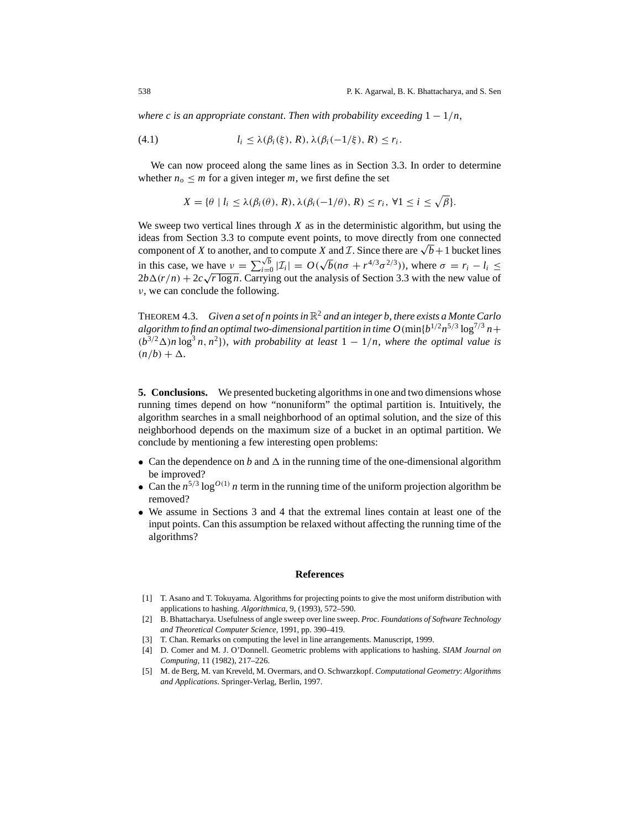*where c is an appropriate constant. Then with probability exceeding*  $1 - 1/n$ ,

(4.1) 
$$
l_i \leq \lambda(\beta_i(\xi), R), \lambda(\beta_i(-1/\xi), R) \leq r_i.
$$

We can now proceed along the same lines as in Section 3.3. In order to determine whether  $n_0 \leq m$  for a given integer *m*, we first define the set

$$
X = \{ \theta \mid l_i \leq \lambda(\beta_i(\theta), R), \lambda(\beta_i(-1/\theta), R) \leq r_i, \forall 1 \leq i \leq \sqrt{\beta} \}.
$$

We sweep two vertical lines through *X* as in the deterministic algorithm, but using the ideas from Section 3.3 to compute event points, to move directly from one connected component of *X* to another, and to compute *X* and *I*. Since there are  $\sqrt{b}+1$  bucket lines in this case, we have  $v = \sum_{i=0}^{\sqrt{b}} |\mathcal{I}_i| = O(\sqrt{b}(n\sigma + r^{4/3}\sigma^{2/3}))$ , where  $\sigma = r_i - l_i \leq$ In this case, we have  $v = \sum_{i=0}^{\infty} |L_i| = O(\sqrt{v} (nv + r^{-\alpha})^{-\alpha})$ , where  $o = r_i - v_i \le 2b\Delta(r/n) + 2c\sqrt{r \log n}$ . Carrying out the analysis of Section 3.3 with the new value of ν, we can conclude the following.

THEOREM 4.3. *Given a set of n points in* R<sup>2</sup> *and an integer b*, *there exists a Monte Carlo algorithm to find an optimal two-dimensional partition in time*  $O(\min\{b^{1/2}n^{5/3}\log^{7/3}n+\}$  $(b^{3/2}\Delta)n \log^3 n$ ,  $n^2$ }), *with probability at least*  $1 - 1/n$ *, where the optimal value is*  $(n/b) + \Delta$ .

**5. Conclusions.** We presented bucketing algorithms in one and two dimensions whose running times depend on how "nonuniform" the optimal partition is. Intuitively, the algorithm searches in a small neighborhood of an optimal solution, and the size of this neighborhood depends on the maximum size of a bucket in an optimal partition. We conclude by mentioning a few interesting open problems:

- Can the dependence on *b* and  $\Delta$  in the running time of the one-dimensional algorithm be improved?
- Can the  $n^{5/3} \log^{O(1)} n$  term in the running time of the uniform projection algorithm be removed?
- We assume in Sections 3 and 4 that the extremal lines contain at least one of the input points. Can this assumption be relaxed without affecting the running time of the algorithms?

## **References**

- [1] T. Asano and T. Tokuyama. Algorithms for projecting points to give the most uniform distribution with applications to hashing. *Algorithmica*, 9, (1993), 572–590.
- [2] B. Bhattacharya. Usefulness of angle sweep over line sweep. *Proc*. *Foundations of Software Technology and Theoretical Computer Science*, 1991, pp. 390–419.
- [3] T. Chan. Remarks on computing the level in line arrangements. Manuscript, 1999.
- [4] D. Comer and M. J. O'Donnell. Geometric problems with applications to hashing. *SIAM Journal on Computing*, 11 (1982), 217–226.
- [5] M. de Berg, M. van Kreveld, M. Overmars, and O. Schwarzkopf. *Computational Geometry*: *Algorithms and Applications*. Springer-Verlag, Berlin, 1997.